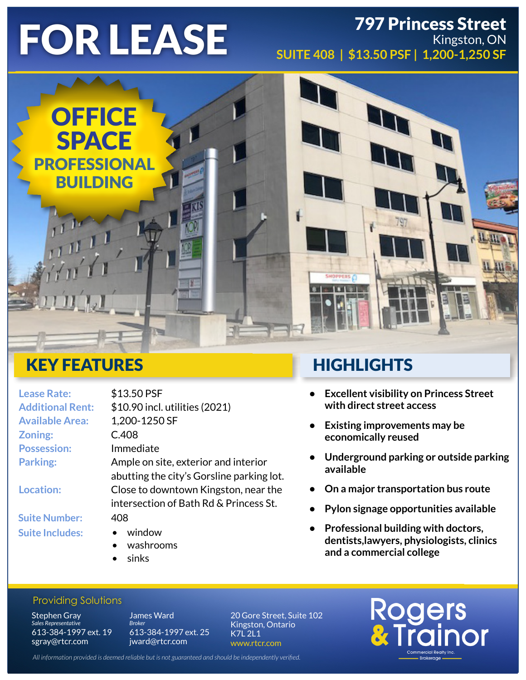## FOR LEASE 797 Princess Street Kingston, ON **SUITE 408 | \$13.50 PSF | 1,200-1,250 SF**



# KEY FEATURES

| <b>Lease Rate:</b>      | \$13.50 PSF                               |
|-------------------------|-------------------------------------------|
| <b>Additional Rent:</b> | \$10.90 incl. utilities (2021)            |
| <b>Available Area:</b>  | 1,200-1250 SF                             |
| Zoning:                 | C.408                                     |
| <b>Possession:</b>      | Immediate                                 |
| <b>Parking:</b>         | Ample on site, exterior and interior      |
|                         | abutting the city's Gorsline parking lot. |
| <b>Location:</b>        | Close to downtown Kingston, near the      |
|                         | intersection of Bath Rd & Princess St.    |
| <b>Suite Number:</b>    | 408                                       |
| <b>Suite Includes:</b>  | window                                    |
|                         |                                           |

- washrooms
- sinks

# **HIGHLIGHTS**

- **• Excellent visibility on Princess Street with direct street access**
- **• Existing improvements may be economically reused**
- **• Underground parking or outside parking available**
- **• On a major transportation bus route**
- **• Pylon signage opportunities available**
- **• Professional building with doctors, dentists,lawyers, physiologists, clinics and a commercial college**

Rogers<br>& Trainor

### Providing Solutions

**Stephen Gray** *Sales Representative* 613-384-1997 ext. 19 sgray@rtcr.com

James Ward *Broke* 613-384-1997 ext. 25 jward@rtcr.com

20 Gore Street, Suite 102 Kingston, Ontario K7L 2L1 www.rtcr.com

*All information provided is deemed reliable but is not guaranteed and should be independently verified.*